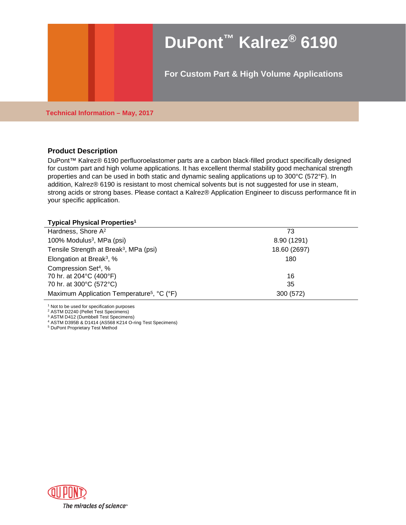# **DuPont™ Kalrez® 6190**

**For Custom Part & High Volume Applications**

**Technical Information – May, 2017**

### **Product Description**

DuPont™ Kalrez® 6190 perfluoroelastomer parts are a carbon black-filled product specifically designed for custom part and high volume applications. It has excellent thermal stability good mechanical strength properties and can be used in both static and dynamic sealing applications up to 300°C (572°F). In addition, Kalrez® 6190 is resistant to most chemical solvents but is not suggested for use in steam, strong acids or strong bases. Please contact a Kalrez® Application Engineer to discuss performance fit in your specific application.

#### **Typical Physical Properties1**

| 73           |
|--------------|
| 8.90 (1291)  |
| 18.60 (2697) |
| 180          |
|              |
| 16           |
| 35           |
| 300 (572)    |
|              |

<sup>1</sup> Not to be used for specification purposes

<sup>2</sup> ASTM D2240 (Pellet Test Specimens)

<sup>3</sup> ASTM D412 (Dumbbell Test Specimens)

<sup>4</sup> ASTM D395B & D1414 (AS568 K214 O-ring Test Specimens)

<sup>5</sup> DuPont Proprietary Test Method